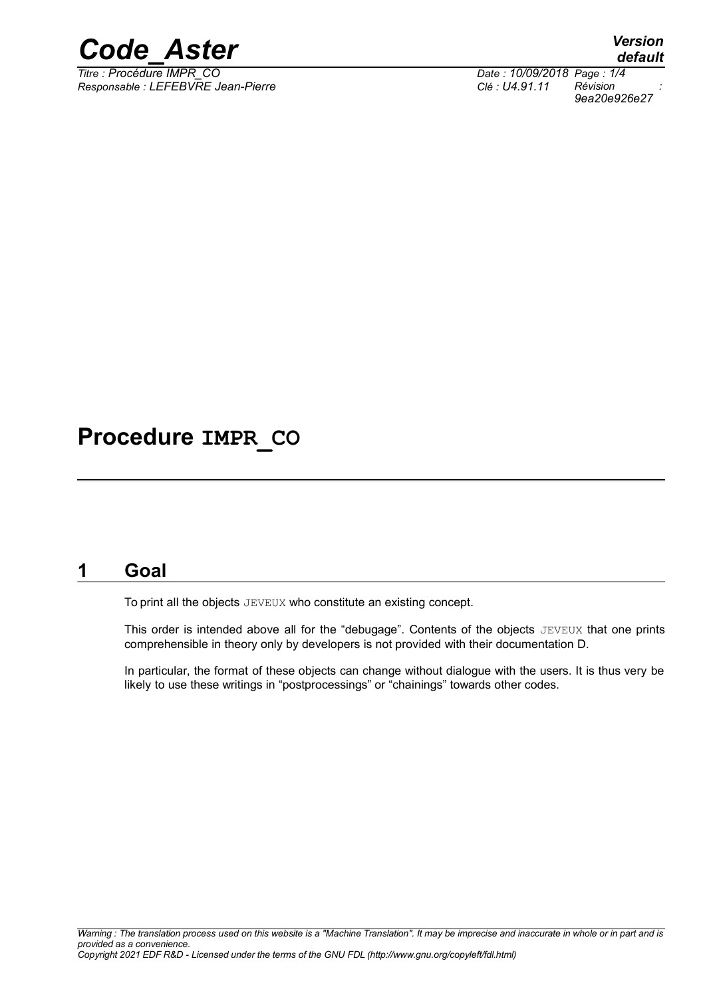

*Responsable : LEFEBVRE Jean-Pierre Clé : U4.91.11 Révision :*

*default Titre : Procédure IMPR\_CO Date : 10/09/2018 Page : 1/4 9ea20e926e27*

# **Procedure IMPR\_CO**

### **1 Goal**

To print all the objects JEVEUX who constitute an existing concept.

This order is intended above all for the "debugage". Contents of the objects JEVEUX that one prints comprehensible in theory only by developers is not provided with their documentation D.

In particular, the format of these objects can change without dialogue with the users. It is thus very be likely to use these writings in "postprocessings" or "chainings" towards other codes.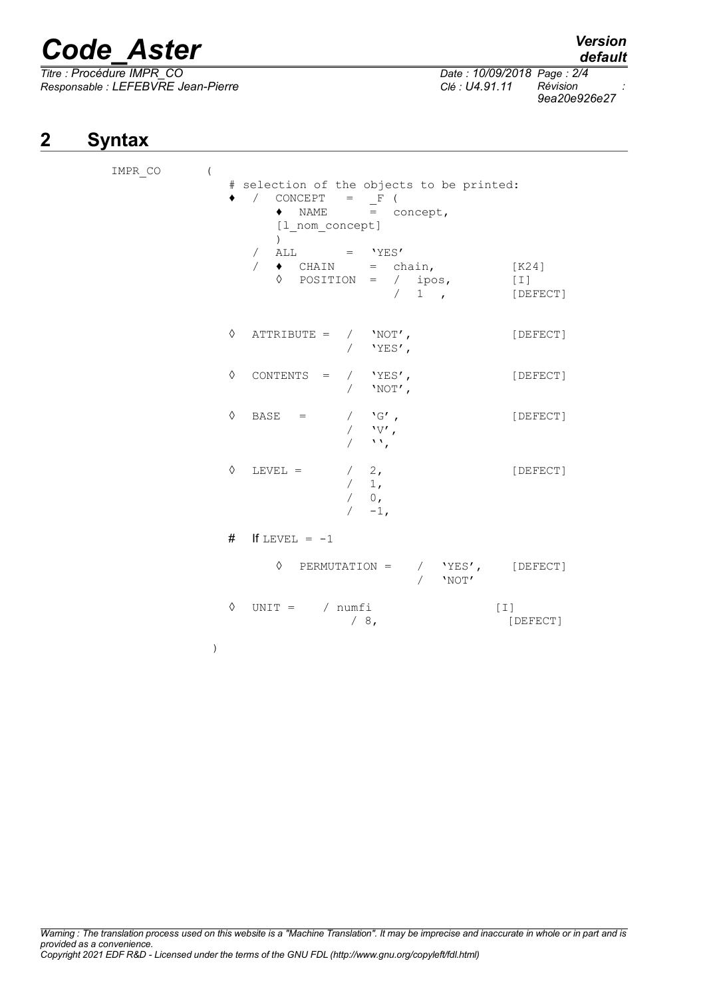# *Code\_Aster Version*

*Titre : Procédure IMPR\_CO Date : 10/09/2018 Page : 2/4 Responsable : LEFEBVRE Jean-Pierre Clé : U4.91.11 Révision :*

# **2 Syntax**

| IMPR CO<br>$\overline{ }$ |   | # selection of the objects to be printed:<br>CONCEPT<br>$\sqrt{2}$<br>$=$ F<br>NAME<br>$\bullet$<br>= concept,<br>[1 nom concept]<br>$\lambda$ |
|---------------------------|---|------------------------------------------------------------------------------------------------------------------------------------------------|
|                           |   | ALL<br>$=$ 'YES'<br>$\sqrt{2}$<br>$\bullet$ CHAIN = chain,<br>[K24]<br>$\Diamond$ POSITION = / ipos,<br>$[1]$<br>$/ 1$ ,<br>[DEFECT]           |
|                           | ♦ | ATTRIBUTE =<br>/ $'$ NOT',<br>[DEFECT]<br>/ $'YES'$ ,                                                                                          |
|                           | ♦ | CONTENTS =<br>/ $'YES'$ ,<br>[DEFECT]<br>/ $'NOT'$ ,                                                                                           |
|                           | ♦ | $BASE =$<br>$\lq G'$ ,<br>[DEFECT]<br>$\sqrt{2}$<br>$\mathbf{v} \mathbf{v}'$ ,<br>$\sqrt{2}$<br>$\mathcal{N}$<br>$\sqrt{2}$                    |
|                           | ♦ | $LEVEL =$<br>$/2$ ,<br>[DEFECT]<br>/ 1,<br>/ 0,<br>$/ -1,$                                                                                     |
|                           | # | If LEVEL = $-1$                                                                                                                                |
|                           |   | $\Diamond$ PERMUTATION =<br>/ $YES'$ , [DEFECT]<br>$\sqrt{2}$<br>'NOT'                                                                         |
|                           | ♦ | $UNIT = / numfi$<br>$[1]$<br>/8,<br>[DEFECT]                                                                                                   |
|                           | ) |                                                                                                                                                |

*default*

*9ea20e926e27*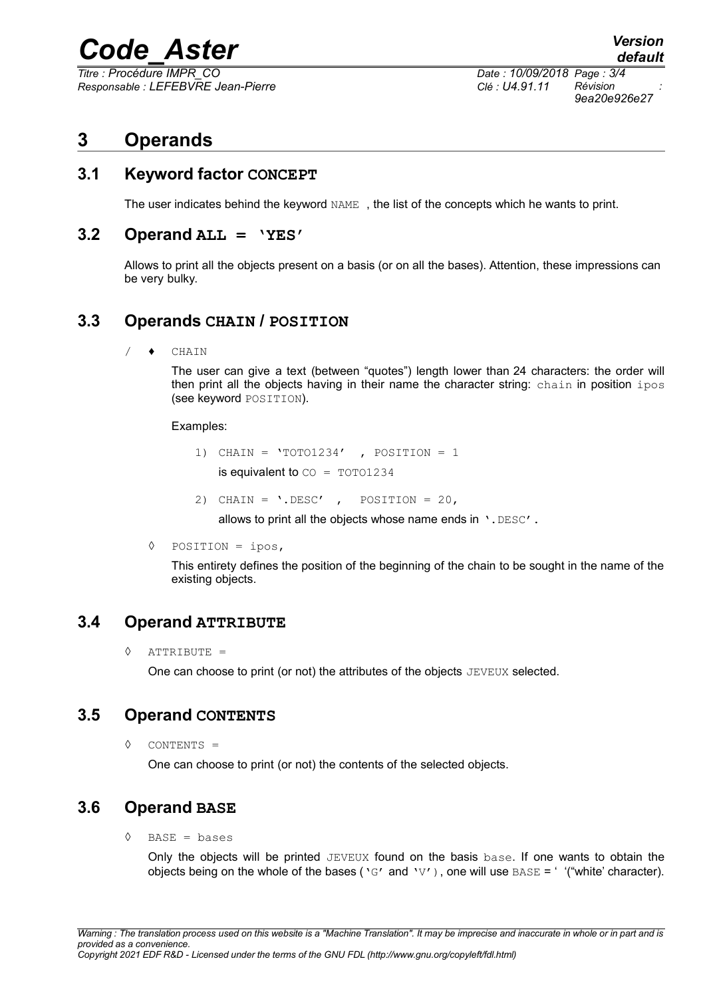# *Code\_Aster Version*

*Titre : Procédure IMPR\_CO Date : 10/09/2018 Page : 3/4 Responsable : LEFEBVRE Jean-Pierre Clé : U4.91.11 Révision :*

*9ea20e926e27*

## **3 Operands**

#### **3.1 Keyword factor CONCEPT**

The user indicates behind the keyword NAME , the list of the concepts which he wants to print.

#### **3.2 Operand ALL = 'YES'**

Allows to print all the objects present on a basis (or on all the bases). Attention, these impressions can be very bulky.

#### **3.3 Operands CHAIN / POSITION**

/ ♦ CHAIN

The user can give a text (between "quotes") length lower than 24 characters: the order will then print all the objects having in their name the character string: chain in position ipos (see keyword POSITION).

Examples:

- 1) CHAIN =  $'TOTO1234'$  , POSITION = 1 is equivalent to  $\text{CO} = \text{TOTO1234}$
- 2) CHAIN =  $\cdot$ . DESC', POSITION = 20,

allows to print all the objects whose name ends in '. DESC'.

◊ POSITION = ipos,

This entirety defines the position of the beginning of the chain to be sought in the name of the existing objects.

#### **3.4 Operand ATTRIBUTE**

◊ ATTRIBUTE =

One can choose to print (or not) the attributes of the objects JEVEUX selected.

#### **3.5 Operand CONTENTS**

◊ CONTENTS =

One can choose to print (or not) the contents of the selected objects.

#### **3.6 Operand BASE**

 $\Diamond$  BASE = bases

Only the objects will be printed JEVEUX found on the basis base. If one wants to obtain the objects being on the whole of the bases ( $\sqrt{G'}$  and  $\sqrt{V'}$ ), one will use BASE = ' '("white' character).